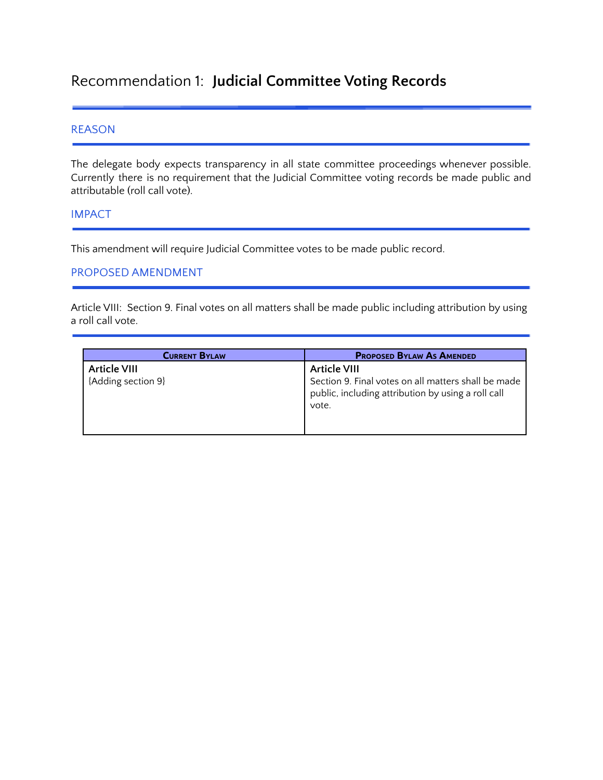# Recommendation 1: **Judicial Committee Voting Records**

#### REASON

The delegate body expects transparency in all state committee proceedings whenever possible. Currently there is no requirement that the Judicial Committee voting records be made public and attributable (roll call vote).

#### IMPACT

This amendment will require Judicial Committee votes to be made public record.

#### PROPOSED AMENDMENT

Article VIII: Section 9. Final votes on all matters shall be made public including attribution by using a roll call vote.

| <b>CURRENT BYLAW</b> | <b>PROPOSED BYLAW AS AMENDED</b>                                                                                   |
|----------------------|--------------------------------------------------------------------------------------------------------------------|
| <b>Article VIII</b>  | <b>Article VIII</b>                                                                                                |
| {Adding section 9}   | Section 9. Final votes on all matters shall be made<br>public, including attribution by using a roll call<br>vote. |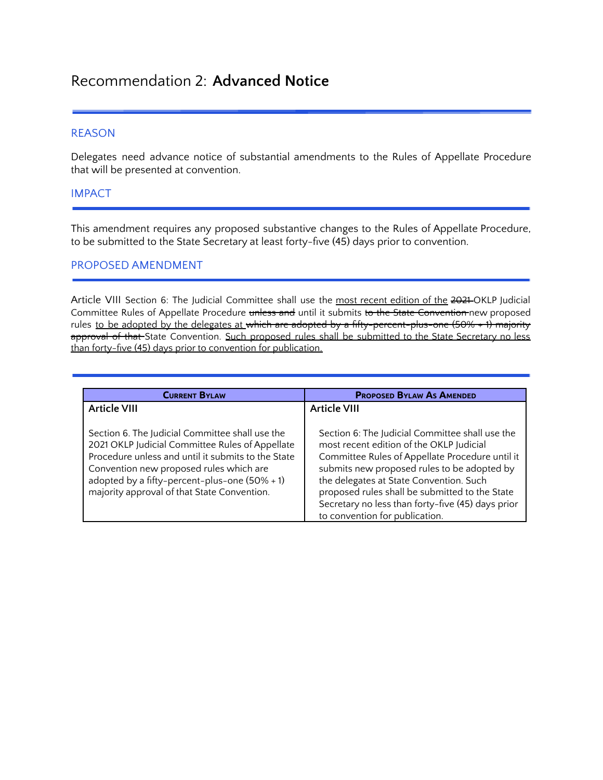# Recommendation 2: **Advanced Notice**

#### REASON

Delegates need advance notice of substantial amendments to the Rules of Appellate Procedure that will be presented at convention.

#### IMPACT

This amendment requires any proposed substantive changes to the Rules of Appellate Procedure, to be submitted to the State Secretary at least forty-five (45) days prior to convention.

#### PROPOSED AMENDMENT

Article VIII Section 6: The Judicial Committee shall use the most recent edition of the 2021 OKLP Judicial Committee Rules of Appellate Procedure unless and until it submits to the State Convention new proposed rules to be adopted by the delegates at which are adopted by a fifty-percent-plus-one (50% + 1) majority approval of that State Convention. Such proposed rules shall be submitted to the State Secretary no less than forty-five (45) days prior to convention for publication.

| <b>CURRENT BYLAW</b>                                                                                                                                                                                                                                                                                   | <b>PROPOSED BYLAW AS AMENDED</b>                                                                                                                                                                                                                                                                                                                                                  |
|--------------------------------------------------------------------------------------------------------------------------------------------------------------------------------------------------------------------------------------------------------------------------------------------------------|-----------------------------------------------------------------------------------------------------------------------------------------------------------------------------------------------------------------------------------------------------------------------------------------------------------------------------------------------------------------------------------|
| <b>Article VIII</b>                                                                                                                                                                                                                                                                                    | Article VIII                                                                                                                                                                                                                                                                                                                                                                      |
| Section 6. The Judicial Committee shall use the<br>2021 OKLP Judicial Committee Rules of Appellate<br>Procedure unless and until it submits to the State<br>Convention new proposed rules which are<br>adopted by a fifty-percent-plus-one $(50\% + 1)$<br>majority approval of that State Convention. | Section 6: The Judicial Committee shall use the<br>most recent edition of the OKLP Judicial<br>Committee Rules of Appellate Procedure until it<br>submits new proposed rules to be adopted by<br>the delegates at State Convention. Such<br>proposed rules shall be submitted to the State<br>Secretary no less than forty-five (45) days prior<br>to convention for publication. |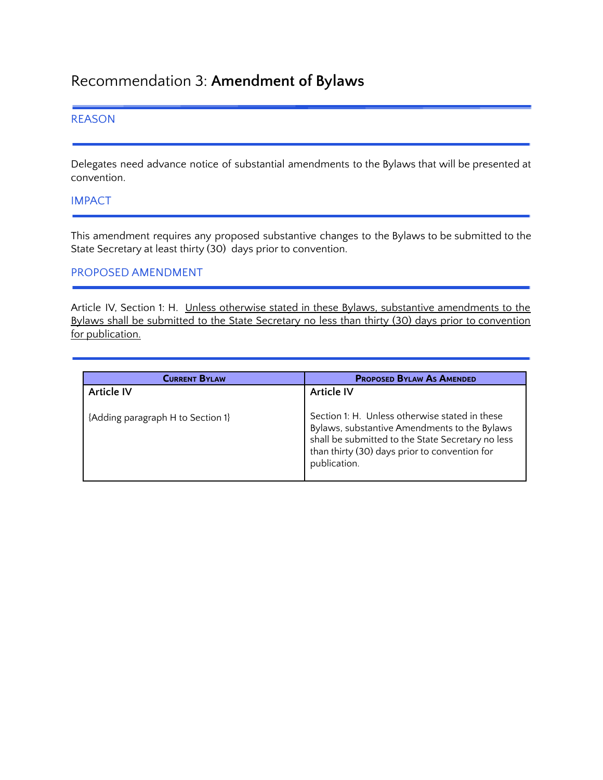# Recommendation 3: **Amendment of Bylaws**

#### REASON

Delegates need advance notice of substantial amendments to the Bylaws that will be presented at convention.

#### IMPACT

This amendment requires any proposed substantive changes to the Bylaws to be submitted to the State Secretary at least thirty (30) days prior to convention.

#### PROPOSED AMENDMENT

Article IV, Section 1: H. Unless otherwise stated in these Bylaws, substantive amendments to the Bylaws shall be submitted to the State Secretary no less than thirty (30) days prior to convention for publication.

| <b>CURRENT BYLAW</b>              | <b>PROPOSED BYLAW AS AMENDED</b>                                                                                                                                                                                     |
|-----------------------------------|----------------------------------------------------------------------------------------------------------------------------------------------------------------------------------------------------------------------|
| <b>Article IV</b>                 | Article IV                                                                                                                                                                                                           |
| {Adding paragraph H to Section 1} | Section 1: H. Unless otherwise stated in these<br>Bylaws, substantive Amendments to the Bylaws<br>shall be submitted to the State Secretary no less<br>than thirty (30) days prior to convention for<br>publication. |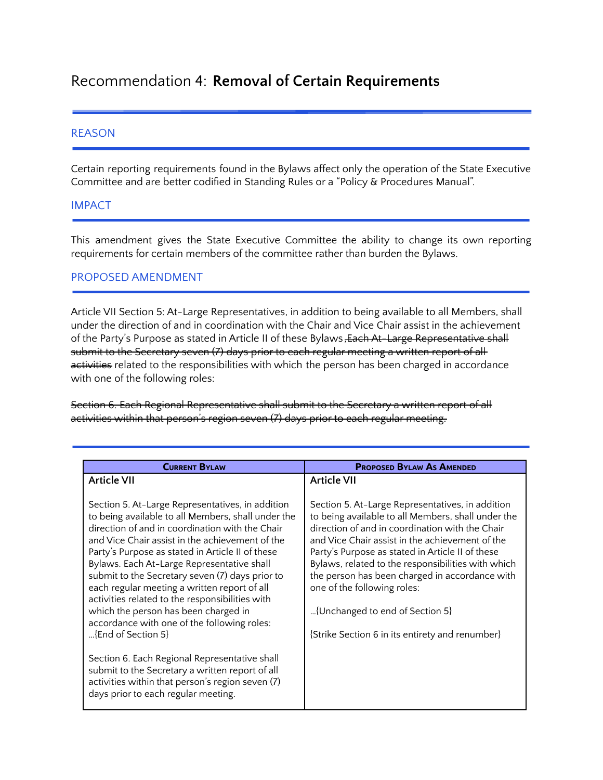# Recommendation 4: **Removal of Certain Requirements**

#### REASON

Certain reporting requirements found in the Bylaws affect only the operation of the State Executive Committee and are better codified in Standing Rules or a "Policy & Procedures Manual".

#### IMPACT

This amendment gives the State Executive Committee the ability to change its own reporting requirements for certain members of the committee rather than burden the Bylaws.

#### PROPOSED AMENDMENT

Article VII Section 5: At-Large Representatives, in addition to being available to all Members, shall under the direction of and in coordination with the Chair and Vice Chair assist in the achievement of the Party's Purpose as stated in Article II of these Bylaws, Each At-Large Representative shall submit to the Secretary seven (7) days prior to each regular meeting a written report of all activities related to the responsibilities with which the person has been charged in accordance with one of the following roles:

Section 6. Each Regional Representative shall submit to the Secretary a written report of all activities within that person's region seven (7) days prior to each regular meeting.

| <b>CURRENT BYLAW</b>                                                                                                                                                                                                                                                                                                                                                                                                                                                                                                                                                              | <b>PROPOSED BYLAW AS AMENDED</b>                                                                                                                                                                                                                                                                                                                                                                                                                                                              |
|-----------------------------------------------------------------------------------------------------------------------------------------------------------------------------------------------------------------------------------------------------------------------------------------------------------------------------------------------------------------------------------------------------------------------------------------------------------------------------------------------------------------------------------------------------------------------------------|-----------------------------------------------------------------------------------------------------------------------------------------------------------------------------------------------------------------------------------------------------------------------------------------------------------------------------------------------------------------------------------------------------------------------------------------------------------------------------------------------|
| <b>Article VII</b>                                                                                                                                                                                                                                                                                                                                                                                                                                                                                                                                                                | <b>Article VII</b>                                                                                                                                                                                                                                                                                                                                                                                                                                                                            |
| Section 5. At-Large Representatives, in addition<br>to being available to all Members, shall under the<br>direction of and in coordination with the Chair<br>and Vice Chair assist in the achievement of the<br>Party's Purpose as stated in Article II of these<br>Bylaws. Each At-Large Representative shall<br>submit to the Secretary seven (7) days prior to<br>each regular meeting a written report of all<br>activities related to the responsibilities with<br>which the person has been charged in<br>accordance with one of the following roles:<br>{End of Section 5} | Section 5. At-Large Representatives, in addition<br>to being available to all Members, shall under the<br>direction of and in coordination with the Chair<br>and Vice Chair assist in the achievement of the<br>Party's Purpose as stated in Article II of these<br>Bylaws, related to the responsibilities with which<br>the person has been charged in accordance with<br>one of the following roles:<br>{Unchanged to end of Section 5}<br>{Strike Section 6 in its entirety and renumber} |
| Section 6. Each Regional Representative shall<br>submit to the Secretary a written report of all<br>activities within that person's region seven (7)<br>days prior to each regular meeting.                                                                                                                                                                                                                                                                                                                                                                                       |                                                                                                                                                                                                                                                                                                                                                                                                                                                                                               |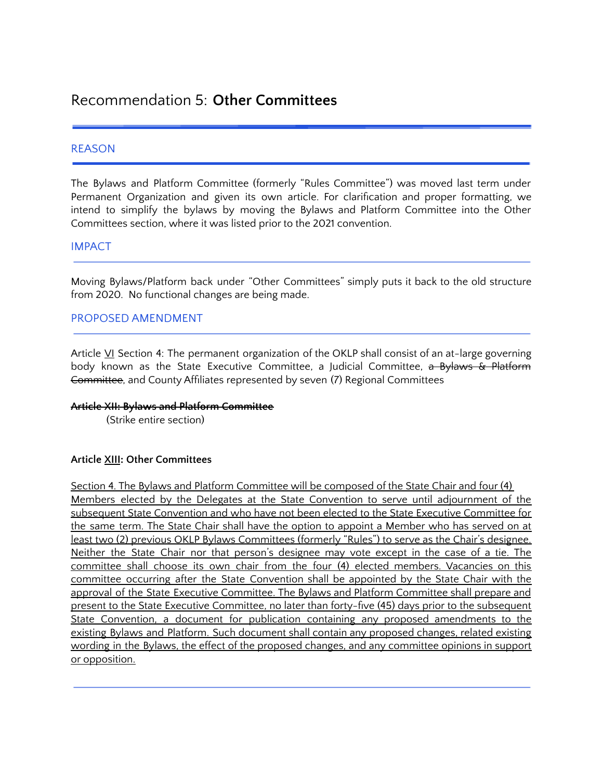### Recommendation 5: **Other Committees**

#### REASON

The Bylaws and Platform Committee (formerly "Rules Committee") was moved last term under Permanent Organization and given its own article. For clarification and proper formatting, we intend to simplify the bylaws by moving the Bylaws and Platform Committee into the Other Committees section, where it was listed prior to the 2021 convention.

#### IMPACT

Moving Bylaws/Platform back under "Other Committees" simply puts it back to the old structure from 2020. No functional changes are being made.

#### PROPOSED AMENDMENT

Article VI Section 4: The permanent organization of the OKLP shall consist of an at-large governing body known as the State Executive Committee, a Judicial Committee, a Bylaws & Platform Committee, and County Affiliates represented by seven (7) Regional Committees

#### **Article XII: Bylaws and Platform Committee**

(Strike entire section)

#### **Article XIII: Other Committees**

Section 4. The Bylaws and Platform Committee will be composed of the State Chair and four (4) Members elected by the Delegates at the State Convention to serve until adjournment of the subsequent State Convention and who have not been elected to the State Executive Committee for the same term. The State Chair shall have the option to appoint a Member who has served on at least two (2) previous OKLP Bylaws Committees (formerly "Rules") to serve as the Chair's designee. Neither the State Chair nor that person's designee may vote except in the case of a tie. The committee shall choose its own chair from the four (4) elected members. Vacancies on this committee occurring after the State Convention shall be appointed by the State Chair with the approval of the State Executive Committee. The Bylaws and Platform Committee shall prepare and present to the State Executive Committee, no later than forty-five (45) days prior to the subsequent State Convention, a document for publication containing any proposed amendments to the existing Bylaws and Platform. Such document shall contain any proposed changes, related existing wording in the Bylaws, the effect of the proposed changes, and any committee opinions in support or opposition.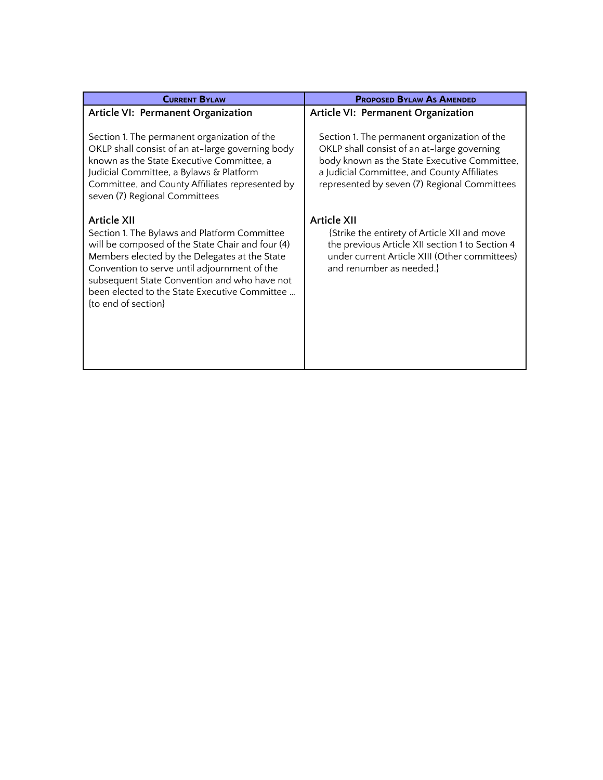| <b>CURRENT BYLAW</b>                                                                                                                                                                                                                                                                                                                            | <b>PROPOSED BYLAW AS AMENDED</b>                                                                                                                                                                                                           |
|-------------------------------------------------------------------------------------------------------------------------------------------------------------------------------------------------------------------------------------------------------------------------------------------------------------------------------------------------|--------------------------------------------------------------------------------------------------------------------------------------------------------------------------------------------------------------------------------------------|
| Article VI: Permanent Organization                                                                                                                                                                                                                                                                                                              | Article VI: Permanent Organization                                                                                                                                                                                                         |
| Section 1. The permanent organization of the<br>OKLP shall consist of an at-large governing body<br>known as the State Executive Committee, a<br>Judicial Committee, a Bylaws & Platform<br>Committee, and County Affiliates represented by<br>seven (7) Regional Committees                                                                    | Section 1. The permanent organization of the<br>OKLP shall consist of an at-large governing<br>body known as the State Executive Committee,<br>a Judicial Committee, and County Affiliates<br>represented by seven (7) Regional Committees |
| <b>Article XII</b><br>Section 1. The Bylaws and Platform Committee<br>will be composed of the State Chair and four (4)<br>Members elected by the Delegates at the State<br>Convention to serve until adjournment of the<br>subsequent State Convention and who have not<br>been elected to the State Executive Committee<br>{to end of section} | <b>Article XII</b><br>{Strike the entirety of Article XII and move<br>the previous Article XII section 1 to Section 4<br>under current Article XIII (Other committees)<br>and renumber as needed.}                                         |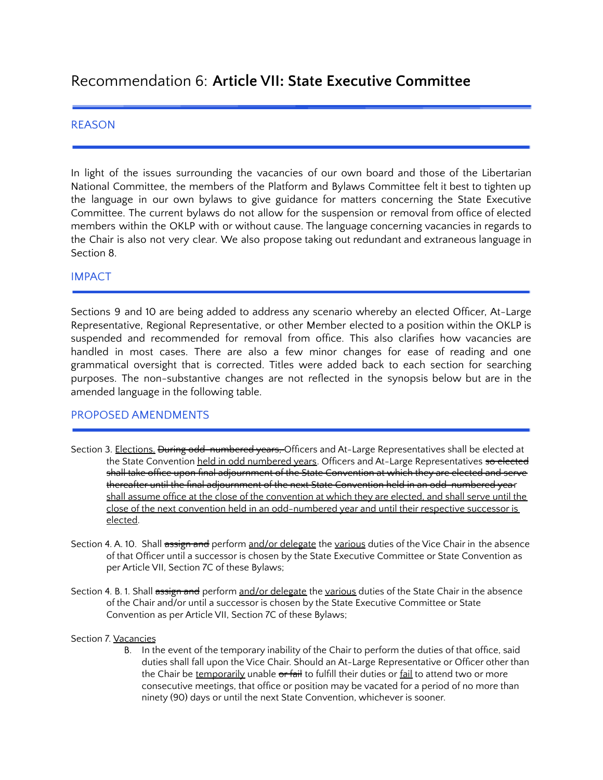## Recommendation 6: **Article VII: State Executive Committee**

#### REASON

In light of the issues surrounding the vacancies of our own board and those of the Libertarian National Committee, the members of the Platform and Bylaws Committee felt it best to tighten up the language in our own bylaws to give guidance for matters concerning the State Executive Committee. The current bylaws do not allow for the suspension or removal from office of elected members within the OKLP with or without cause. The language concerning vacancies in regards to the Chair is also not very clear. We also propose taking out redundant and extraneous language in Section 8.

#### IMPACT

Sections 9 and 10 are being added to address any scenario whereby an elected Officer, At-Large Representative, Regional Representative, or other Member elected to a position within the OKLP is suspended and recommended for removal from office. This also clarifies how vacancies are handled in most cases. There are also a few minor changes for ease of reading and one grammatical oversight that is corrected. Titles were added back to each section for searching purposes. The non-substantive changes are not reflected in the synopsis below but are in the amended language in the following table.

#### PROPOSED AMENDMENTS

- Section 3. Elections. During odd-numbered years, Officers and At-Large Representatives shall be elected at the State Convention held in odd numbered years. Officers and At-Large Representatives so elected shall take office upon final adjournment of the State Convention at which they are elected and serve thereafter until the final adjournment of the next State Convention held in an odd-numbered year shall assume office at the close of the convention at which they are elected, and shall serve until the close of the next convention held in an odd-numbered year and until their respective successor is elected.
- Section 4. A. 10. Shall assign and perform and/or delegate the various duties of the Vice Chair in the absence of that Officer until a successor is chosen by the State Executive Committee or State Convention as per Article VII, Section 7C of these Bylaws;
- Section 4. B. 1. Shall assign and perform and/or delegate the various duties of the State Chair in the absence of the Chair and/or until a successor is chosen by the State Executive Committee or State Convention as per Article VII, Section 7C of these Bylaws;

#### Section 7. Vacancies

B. In the event of the temporary inability of the Chair to perform the duties of that office, said duties shall fall upon the Vice Chair. Should an At-Large Representative or Officer other than the Chair be temporarily unable or fail to fulfill their duties or fail to attend two or more consecutive meetings, that office or position may be vacated for a period of no more than ninety (90) days or until the next State Convention, whichever is sooner.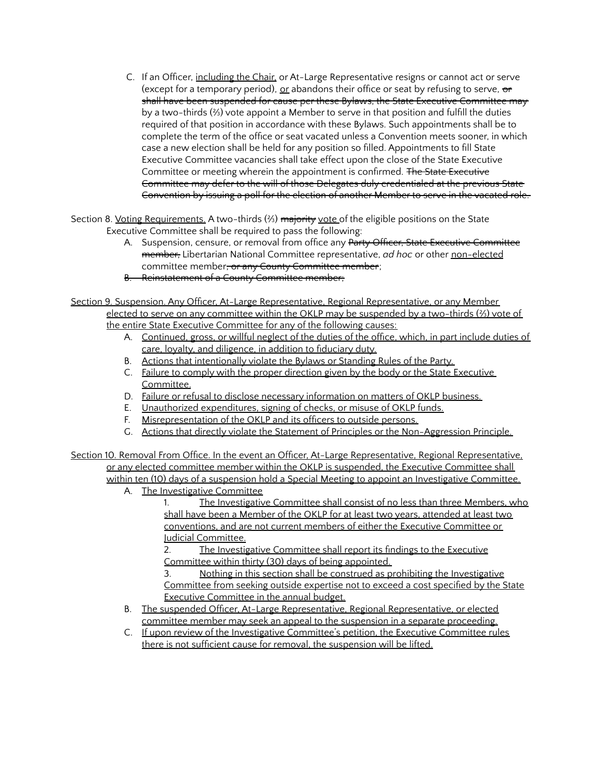C. If an Officer, including the Chair, or At-Large Representative resigns or cannot act or serve (except for a temporary period),  $or$  abandons their office or seat by refusing to serve,  $or$ </u></u> shall have been suspended for cause per these Bylaws, the State Executive Committee may by a two-thirds (⅔) vote appoint a Member to serve in that position and fulfill the duties required of that position in accordance with these Bylaws. Such appointments shall be to complete the term of the office or seat vacated unless a Convention meets sooner, in which case a new election shall be held for any position so filled. Appointments to fill State Executive Committee vacancies shall take effect upon the close of the State Executive Committee or meeting wherein the appointment is confirmed. The State Executive Committee may defer to the will of those Delegates duly credentialed at the previous State Convention by issuing a poll for the election of another Member to serve in the vacated role.

Section 8. Voting Requirements. A two-thirds (⅔) majority vote of the eligible positions on the State Executive Committee shall be required to pass the following:

- A. Suspension, censure, or removal from office any Party Officer, State Executive Committee member, Libertarian National Committee representative, *ad hoc* or other non-elected committee member, or any County Committee member;
- B. Reinstatement of a County Committee member;

Section 9. Suspension. Any Officer. At-Large Representative. Regional Representative, or any Member elected to serve on any committee within the OKLP may be suspended by a two-thirds (⅔) vote of the entire State Executive Committee for any of the following causes:

- A. Continued, gross, or willful neglect of the duties of the office, which, in part include duties of care, loyalty, and diligence, in addition to fiduciary duty.
- B. Actions that intentionally violate the Bylaws or Standing Rules of the Party.
- C. Failure to comply with the proper direction given by the body or the State Executive Committee.
- D. Failure or refusal to disclose necessary information on matters of OKLP business.
- E. Unauthorized expenditures, signing of checks, or misuse of OKLP funds.
- F. Misrepresentation of the OKLP and its officers to outside persons.
- G. Actions that directly violate the Statement of Principles or the Non-Aggression Principle.

Section 10. Removal From Office. In the event an Officer, At-Large Representative, Regional Representative, or any elected committee member within the OKLP is suspended, the Executive Committee shall within ten (10) days of a suspension hold a Special Meeting to appoint an Investigative Committee.

A. The Investigative Committee

1. The Investigative Committee shall consist of no less than three Members, who shall have been a Member of the OKLP for at least two years, attended at least two conventions, and are not current members of either the Executive Committee or Judicial Committee.

2. The Investigative Committee shall report its findings to the Executive Committee within thirty (30) days of being appointed.

3. Nothing in this section shall be construed as prohibiting the Investigative Committee from seeking outside expertise not to exceed a cost specified by the State Executive Committee in the annual budget.

- B. The suspended Officer, At-Large Representative, Regional Representative, or elected committee member may seek an appeal to the suspension in a separate proceeding.
- C. If upon review of the Investigative Committee's petition, the Executive Committee rules there is not sufficient cause for removal, the suspension will be lifted.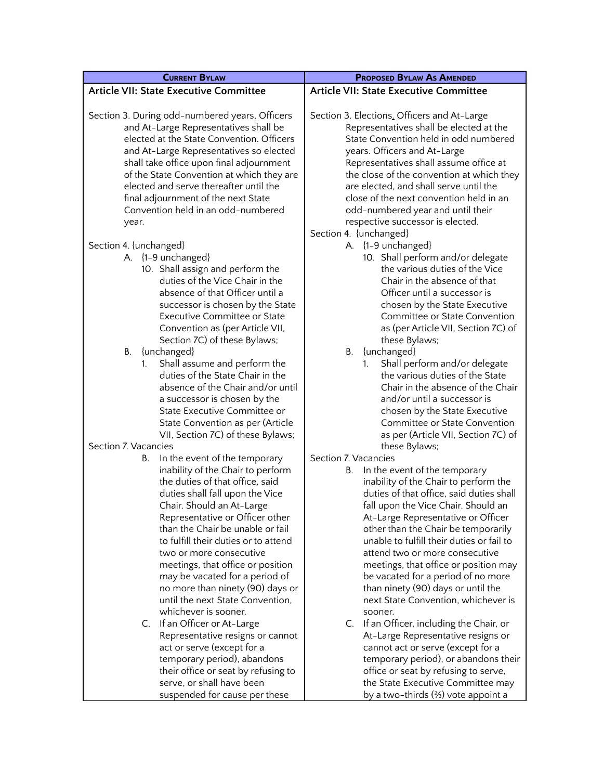| <b>CURRENT BYLAW</b>                           | <b>PROPOSED BYLAW AS AMENDED</b>              |
|------------------------------------------------|-----------------------------------------------|
| <b>Article VII: State Executive Committee</b>  | <b>Article VII: State Executive Committee</b> |
|                                                |                                               |
| Section 3. During odd-numbered years, Officers | Section 3. Elections. Officers and At-Large   |
| and At-Large Representatives shall be          | Representatives shall be elected at the       |
| elected at the State Convention. Officers      | State Convention held in odd numbered         |
| and At-Large Representatives so elected        | years. Officers and At-Large                  |
| shall take office upon final adjournment       | Representatives shall assume office at        |
| of the State Convention at which they are      | the close of the convention at which they     |
| elected and serve thereafter until the         | are elected, and shall serve until the        |
| final adjournment of the next State            | close of the next convention held in an       |
| Convention held in an odd-numbered             | odd-numbered year and until their             |
| year.                                          | respective successor is elected.              |
|                                                | Section 4. {unchanged}                        |
| Section 4. {unchanged}                         | A. {1-9 unchanged}                            |
| A. {1-9 unchanged}                             | 10. Shall perform and/or delegate             |
| 10. Shall assign and perform the               | the various duties of the Vice                |
| duties of the Vice Chair in the                | Chair in the absence of that                  |
| absence of that Officer until a                | Officer until a successor is                  |
| successor is chosen by the State               | chosen by the State Executive                 |
| Executive Committee or State                   | Committee or State Convention                 |
| Convention as (per Article VII,                | as (per Article VII, Section 7C) of           |
| Section 7C) of these Bylaws;                   | these Bylaws;                                 |
| В.<br>{unchanged}                              | В.<br>{unchanged}                             |
| Shall assume and perform the                   | Shall perform and/or delegate<br>$1_{\cdot}$  |
| 1.<br>duties of the State Chair in the         | the various duties of the State               |
| absence of the Chair and/or until              | Chair in the absence of the Chair             |
| a successor is chosen by the                   | and/or until a successor is                   |
| State Executive Committee or                   | chosen by the State Executive                 |
| State Convention as per (Article               | Committee or State Convention                 |
| VII, Section 7C) of these Bylaws;              | as per (Article VII, Section 7C) of           |
| Section 7. Vacancies                           | these Bylaws;                                 |
| In the event of the temporary<br>В.            | Section 7. Vacancies                          |
| inability of the Chair to perform              | In the event of the temporary<br>В.           |
| the duties of that office, said                | inability of the Chair to perform the         |
| duties shall fall upon the Vice                | duties of that office, said duties shall      |
| Chair. Should an At-Large                      | fall upon the Vice Chair. Should an           |
| Representative or Officer other                | At-Large Representative or Officer            |
| than the Chair be unable or fail               | other than the Chair be temporarily           |
| to fulfill their duties or to attend           | unable to fulfill their duties or fail to     |
| two or more consecutive                        | attend two or more consecutive                |
| meetings, that office or position              | meetings, that office or position may         |
| may be vacated for a period of                 | be vacated for a period of no more            |
| no more than ninety (90) days or               | than ninety (90) days or until the            |
| until the next State Convention,               | next State Convention, whichever is           |
| whichever is sooner.                           | sooner.                                       |
| If an Officer or At-Large<br>C.                | C. If an Officer, including the Chair, or     |
| Representative resigns or cannot               | At-Large Representative resigns or            |
| act or serve (except for a                     | cannot act or serve (except for a             |
| temporary period), abandons                    | temporary period), or abandons their          |
| their office or seat by refusing to            | office or seat by refusing to serve,          |
| serve, or shall have been                      | the State Executive Committee may             |
| suspended for cause per these                  | by a two-thirds (%) vote appoint a            |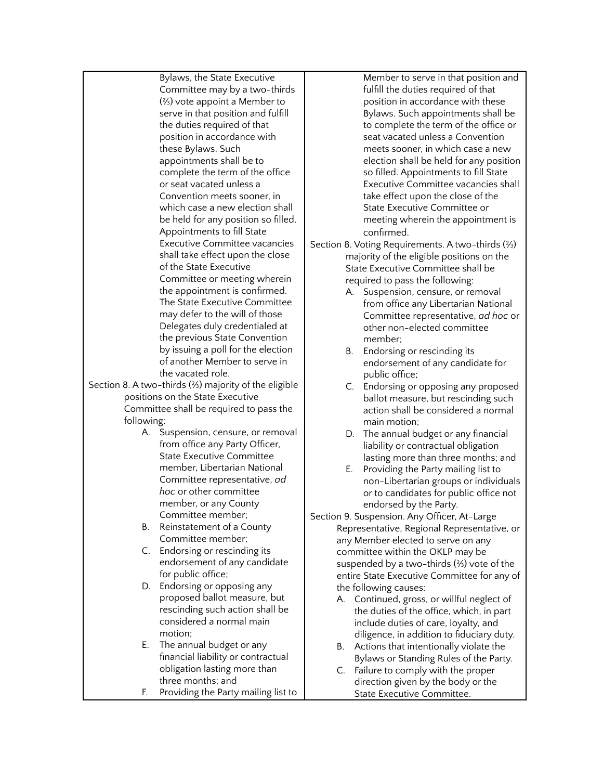Bylaws, the State Executive Committee may by a two-thirds (⅔) vote appoint a Member to serve in that position and fulfill the duties required of that position in accordance with these Bylaws. Such appointments shall be to complete the term of the office or seat vacated unless a Convention meets sooner, in which case a new election shall be held for any position so filled. Appointments to fill State Executive Committee vacancies shall take effect upon the close of the State Executive Committee or meeting wherein the appointment is confirmed. The State Executive Committee may defer to the will of those Delegates duly credentialed at the previous State Convention by issuing a poll for the election of another Member to serve in the vacated role. Section 8. A two-thirds (⅔) majority of the eligible positions on the State Executive Committee shall be required to pass the following: A. Suspension, censure, or removal from office any Party Officer, State Executive Committee member, Libertarian National Committee representative, *ad hoc* or other committee member, or any County Committee member; B. Reinstatement of a County Committee member; C. Endorsing or rescinding its endorsement of any candidate for public office; D. Endorsing or opposing any proposed ballot measure, but rescinding such action shall be considered a normal main motion; E. The annual budget or any financial liability or contractual obligation lasting more than three months; and F. Providing the Party mailing list to

Member to serve in that position and fulfill the duties required of that position in accordance with these Bylaws. Such appointments shall be to complete the term of the office or seat vacated unless a Convention meets sooner, in which case a new election shall be held for any position so filled. Appointments to fill State Executive Committee vacancies shall take effect upon the close of the State Executive Committee or meeting wherein the appointment is confirmed.

Section 8. Voting Requirements. A two-thirds (⅔) majority of the eligible positions on the State Executive Committee shall be required to pass the following:

- A. Suspension, censure, or removal from office any Libertarian National Committee representative, *ad hoc* or other non-elected committee member;
- B. Endorsing or rescinding its endorsement of any candidate for public office;
- C. Endorsing or opposing any proposed ballot measure, but rescinding such action shall be considered a normal main motion;
- D. The annual budget or any financial liability or contractual obligation lasting more than three months; and
- E. Providing the Party mailing list to non-Libertarian groups or individuals or to candidates for public office not endorsed by the Party.
- Section 9. Suspension. Any Officer, At-Large Representative, Regional Representative, or any Member elected to serve on any committee within the OKLP may be suspended by a two-thirds (⅔) vote of the entire State Executive Committee for any of the following causes:
	- A. Continued, gross, or willful neglect of the duties of the office, which, in part include duties of care, loyalty, and diligence, in addition to fiduciary duty.
	- B. Actions that intentionally violate the Bylaws or Standing Rules of the Party.
	- C. Failure to comply with the proper direction given by the body or the State Executive Committee.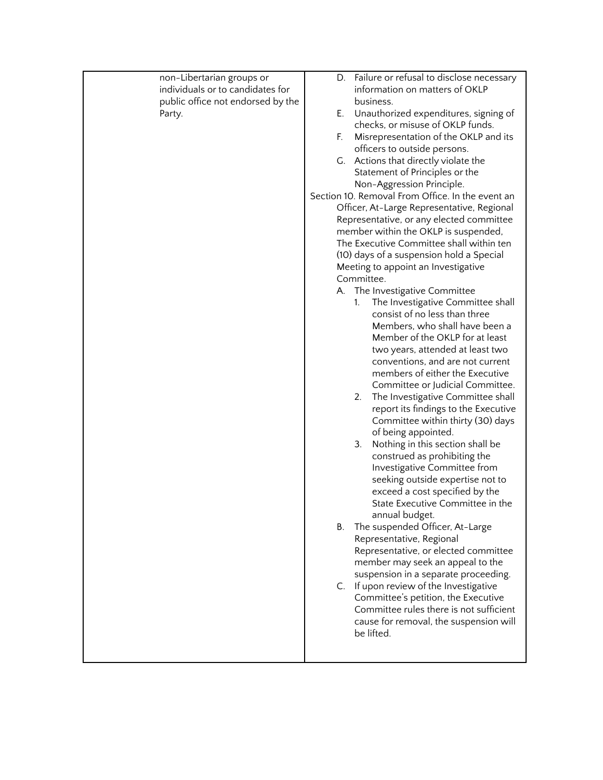| non-Libertarian groups or<br>individuals or to candidates for<br>public office not endorsed by the<br>Party. | Failure or refusal to disclose necessary<br>D.<br>information on matters of OKLP<br>business.<br>Unauthorized expenditures, signing of<br>Е.<br>checks, or misuse of OKLP funds.<br>Misrepresentation of the OKLP and its<br>F.<br>officers to outside persons.<br>G. Actions that directly violate the<br>Statement of Principles or the<br>Non-Aggression Principle.<br>Section 10. Removal From Office. In the event an<br>Officer, At-Large Representative, Regional<br>Representative, or any elected committee<br>member within the OKLP is suspended,<br>The Executive Committee shall within ten<br>(10) days of a suspension hold a Special<br>Meeting to appoint an Investigative<br>Committee.<br>A. The Investigative Committee<br>The Investigative Committee shall<br>1.<br>consist of no less than three<br>Members, who shall have been a<br>Member of the OKLP for at least<br>two years, attended at least two<br>conventions, and are not current<br>members of either the Executive<br>Committee or Judicial Committee.<br>The Investigative Committee shall<br>2.<br>report its findings to the Executive<br>Committee within thirty (30) days<br>of being appointed.<br>Nothing in this section shall be<br>3.<br>construed as prohibiting the<br>Investigative Committee from<br>seeking outside expertise not to<br>exceed a cost specified by the<br>State Executive Committee in the<br>annual budget.<br>The suspended Officer, At-Large<br>В.<br>Representative, Regional<br>Representative, or elected committee<br>member may seek an appeal to the<br>suspension in a separate proceeding.<br>C. If upon review of the Investigative<br>Committee's petition, the Executive<br>Committee rules there is not sufficient |
|--------------------------------------------------------------------------------------------------------------|-------------------------------------------------------------------------------------------------------------------------------------------------------------------------------------------------------------------------------------------------------------------------------------------------------------------------------------------------------------------------------------------------------------------------------------------------------------------------------------------------------------------------------------------------------------------------------------------------------------------------------------------------------------------------------------------------------------------------------------------------------------------------------------------------------------------------------------------------------------------------------------------------------------------------------------------------------------------------------------------------------------------------------------------------------------------------------------------------------------------------------------------------------------------------------------------------------------------------------------------------------------------------------------------------------------------------------------------------------------------------------------------------------------------------------------------------------------------------------------------------------------------------------------------------------------------------------------------------------------------------------------------------------------------------------------------------------------------------------------------------------|
|                                                                                                              | cause for removal, the suspension will<br>be lifted.                                                                                                                                                                                                                                                                                                                                                                                                                                                                                                                                                                                                                                                                                                                                                                                                                                                                                                                                                                                                                                                                                                                                                                                                                                                                                                                                                                                                                                                                                                                                                                                                                                                                                                  |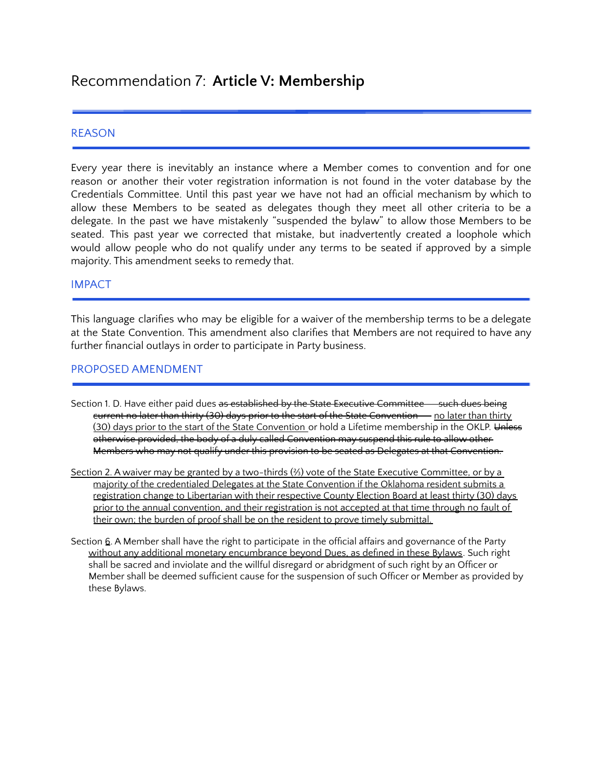# Recommendation 7: **Article V: Membership**

#### REASON

Every year there is inevitably an instance where a Member comes to convention and for one reason or another their voter registration information is not found in the voter database by the Credentials Committee. Until this past year we have not had an official mechanism by which to allow these Members to be seated as delegates though they meet all other criteria to be a delegate. In the past we have mistakenly "suspended the bylaw" to allow those Members to be seated. This past year we corrected that mistake, but inadvertently created a loophole which would allow people who do not qualify under any terms to be seated if approved by a simple majority. This amendment seeks to remedy that.

#### IMPACT

This language clarifies who may be eligible for a waiver of the membership terms to be a delegate at the State Convention. This amendment also clarifies that Members are not required to have any further financial outlays in order to participate in Party business.

#### PROPOSED AMENDMENT

- Section 1. D. Have either paid dues as established by the State Executive Committee -- such dues being eurrent no later than thirty (30) days prior to the start of the State Convention - no later than thirty (30) days prior to the start of the State Convention or hold a Lifetime membership in the OKLP. Unless otherwise provided, the body of a duly called Convention may suspend this rule to allow other Members who may not qualify under this provision to be seated as Delegates at that Convention.
- Section 2. A waiver may be granted by a two-thirds (⅔) vote of the State Executive Committee, or by a majority of the credentialed Delegates at the State Convention if the Oklahoma resident submits a registration change to Libertarian with their respective County Election Board at least thirty (30) days prior to the annual convention, and their registration is not accepted at that time through no fault of their own; the burden of proof shall be on the resident to prove timely submittal.
- Section  $6.$  A Member shall have the right to participate in the official affairs and governance of the Party without any additional monetary encumbrance beyond Dues, as defined in these Bylaws. Such right shall be sacred and inviolate and the willful disregard or abridgment of such right by an Officer or Member shall be deemed sufficient cause for the suspension of such Officer or Member as provided by these Bylaws.